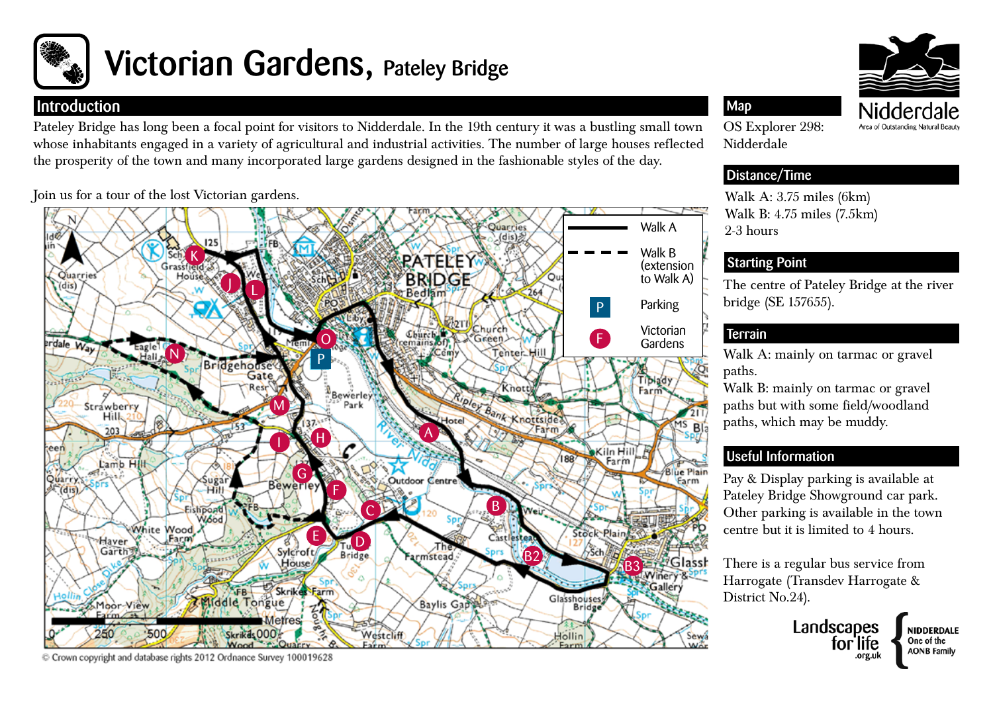

# Victorian Gardens, Pateley Bridge

### **Introduction**

Pateley Bridge has long been a focal point for visitors to Nidderdale. In the 19th century it was a bustling small town whose inhabitants engaged in a variety of agricultural and industrial activities. The number of large houses reflected the prosperity of the town and many incorporated large gardens designed in the fashionable styles of the day.

Join us for a tour of the lost Victorian gardens.



C Crown copyright and database rights 2012 Ordnance Survey 100019628



OS Explorer 298: Nidderdale

Map

## Distance/Time

Walk A: 3.75 miles (6km) Walk B: 4.75 miles (7.5km) 2-3 hours

## Starting Point

The centre of Pateley Bridge at the river bridge (SE 157655).

# **Terrain**

Walk A: mainly on tarmac or gravel paths.

Walk B: mainly on tarmac or gravel paths but with some field/woodland paths, which may be muddy.

# Useful Information

Pay & Display parking is available at Pateley Bridge Showground car park. Other parking is available in the town centre but it is limited to 4 hours.

There is a regular bus service from Harrogate (Transdev Harrogate & District No.24).

> Landscapes tor lite .org.uk

NIDDERDALE

One of the

**AONB Family**